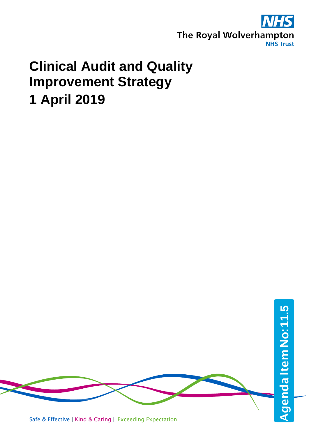

## **Clinical Audit and Quality Improvement Strategy 1 April 2019**

Safe & Effective | Kind & Caring | Exceeding Expectation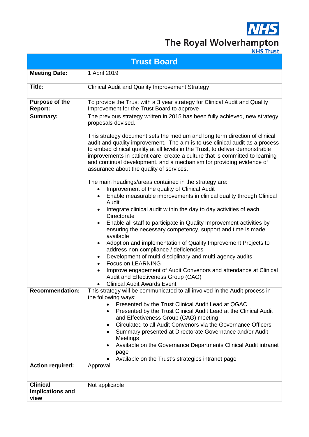

# The Royal Wolverhampton

| <b>Trust Board</b>                          |                                                                                                                                                                                                                                                                                                                                                                                                                                                                                                                                                                                                                                                                                                                                                                                                                                                                                                                                                                                                                                                                                                                                                                                                                                                                                                                                                                                                                                                                                                                       |  |  |  |  |  |  |  |  |
|---------------------------------------------|-----------------------------------------------------------------------------------------------------------------------------------------------------------------------------------------------------------------------------------------------------------------------------------------------------------------------------------------------------------------------------------------------------------------------------------------------------------------------------------------------------------------------------------------------------------------------------------------------------------------------------------------------------------------------------------------------------------------------------------------------------------------------------------------------------------------------------------------------------------------------------------------------------------------------------------------------------------------------------------------------------------------------------------------------------------------------------------------------------------------------------------------------------------------------------------------------------------------------------------------------------------------------------------------------------------------------------------------------------------------------------------------------------------------------------------------------------------------------------------------------------------------------|--|--|--|--|--|--|--|--|
| <b>Meeting Date:</b>                        | 1 April 2019                                                                                                                                                                                                                                                                                                                                                                                                                                                                                                                                                                                                                                                                                                                                                                                                                                                                                                                                                                                                                                                                                                                                                                                                                                                                                                                                                                                                                                                                                                          |  |  |  |  |  |  |  |  |
| Title:                                      | <b>Clinical Audit and Quality Improvement Strategy</b>                                                                                                                                                                                                                                                                                                                                                                                                                                                                                                                                                                                                                                                                                                                                                                                                                                                                                                                                                                                                                                                                                                                                                                                                                                                                                                                                                                                                                                                                |  |  |  |  |  |  |  |  |
| <b>Purpose of the</b><br>Report:            | To provide the Trust with a 3 year strategy for Clinical Audit and Quality<br>Improvement for the Trust Board to approve                                                                                                                                                                                                                                                                                                                                                                                                                                                                                                                                                                                                                                                                                                                                                                                                                                                                                                                                                                                                                                                                                                                                                                                                                                                                                                                                                                                              |  |  |  |  |  |  |  |  |
| <b>Summary:</b><br><b>Recommendation:</b>   | The previous strategy written in 2015 has been fully achieved, new strategy<br>proposals devised.<br>This strategy document sets the medium and long term direction of clinical<br>audit and quality improvement. The aim is to use clinical audit as a process<br>to embed clinical quality at all levels in the Trust, to deliver demonstrable<br>improvements in patient care, create a culture that is committed to learning<br>and continual development, and a mechanism for providing evidence of<br>assurance about the quality of services.<br>The main headings/areas contained in the strategy are:<br>Improvement of the quality of Clinical Audit<br>$\bullet$<br>Enable measurable improvements in clinical quality through Clinical<br>٠<br>Audit<br>Integrate clinical audit within the day to day activities of each<br><b>Directorate</b><br>Enable all staff to participate in Quality Improvement activities by<br>ensuring the necessary competency, support and time is made<br>available<br>Adoption and implementation of Quality Improvement Projects to<br>$\bullet$<br>address non-compliance / deficiencies<br>Development of multi-disciplinary and multi-agency audits<br>٠<br><b>Focus on LEARNING</b><br>$\bullet$<br>Improve engagement of Audit Convenors and attendance at Clinical<br>$\bullet$<br>Audit and Effectiveness Group (CAG)<br><b>Clinical Audit Awards Event</b><br>This strategy will be communicated to all involved in the Audit process in<br>the following ways: |  |  |  |  |  |  |  |  |
| <b>Action required:</b>                     | Presented by the Trust Clinical Audit Lead at QGAC<br>Presented by the Trust Clinical Audit Lead at the Clinical Audit<br>$\bullet$<br>and Effectiveness Group (CAG) meeting<br>Circulated to all Audit Convenors via the Governance Officers<br>Summary presented at Directorate Governance and/or Audit<br>Meetings<br>Available on the Governance Departments Clinical Audit intranet<br>page<br>Available on the Trust's strategies intranet page<br>Approval                                                                                                                                                                                                                                                                                                                                                                                                                                                                                                                                                                                                                                                                                                                                                                                                                                                                                                                                                                                                                                                     |  |  |  |  |  |  |  |  |
| <b>Clinical</b><br>implications and<br>view | Not applicable                                                                                                                                                                                                                                                                                                                                                                                                                                                                                                                                                                                                                                                                                                                                                                                                                                                                                                                                                                                                                                                                                                                                                                                                                                                                                                                                                                                                                                                                                                        |  |  |  |  |  |  |  |  |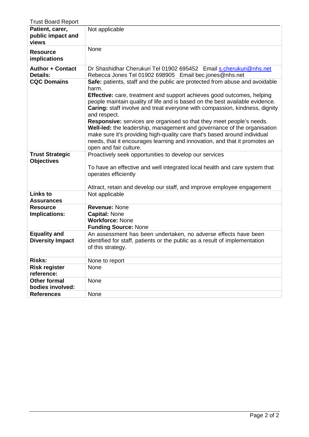| <b>Trust Board Report</b>                      |                                                                                                                                                                                                                                                                                                                                                                                                                                                                                                                                                                                                                                                                                              |
|------------------------------------------------|----------------------------------------------------------------------------------------------------------------------------------------------------------------------------------------------------------------------------------------------------------------------------------------------------------------------------------------------------------------------------------------------------------------------------------------------------------------------------------------------------------------------------------------------------------------------------------------------------------------------------------------------------------------------------------------------|
| Patient, carer,<br>public impact and<br>views  | Not applicable                                                                                                                                                                                                                                                                                                                                                                                                                                                                                                                                                                                                                                                                               |
| <b>Resource</b><br>implications                | None                                                                                                                                                                                                                                                                                                                                                                                                                                                                                                                                                                                                                                                                                         |
| <b>Author + Contact</b><br><b>Details:</b>     | Dr Shashidhar Cherukuri Tel 01902 695452 Email s.cherukuri@nhs.net<br>Rebecca Jones Tel 01902 698905 Email bec.jones@nhs.net                                                                                                                                                                                                                                                                                                                                                                                                                                                                                                                                                                 |
| <b>CQC Domains</b>                             | Safe: patients, staff and the public are protected from abuse and avoidable<br>harm.<br>Effective: care, treatment and support achieves good outcomes, helping<br>people maintain quality of life and is based on the best available evidence.<br>Caring: staff involve and treat everyone with compassion, kindness, dignity<br>and respect.<br><b>Responsive:</b> services are organised so that they meet people's needs.<br>Well-led: the leadership, management and governance of the organisation<br>make sure it's providing high-quality care that's based around individual<br>needs, that it encourages learning and innovation, and that it promotes an<br>open and fair culture. |
| <b>Trust Strategic</b><br><b>Objectives</b>    | Proactively seek opportunities to develop our services<br>To have an effective and well integrated local health and care system that<br>operates efficiently<br>Attract, retain and develop our staff, and improve employee engagement                                                                                                                                                                                                                                                                                                                                                                                                                                                       |
| <b>Links to</b><br><b>Assurances</b>           | Not applicable                                                                                                                                                                                                                                                                                                                                                                                                                                                                                                                                                                                                                                                                               |
| <b>Resource</b><br>Implications:               | <b>Revenue: None</b><br><b>Capital: None</b><br><b>Workforce: None</b><br><b>Funding Source: None</b>                                                                                                                                                                                                                                                                                                                                                                                                                                                                                                                                                                                        |
| <b>Equality and</b><br><b>Diversity Impact</b> | An assessment has been undertaken, no adverse effects have been<br>identified for staff, patients or the public as a result of implementation<br>of this strategy.                                                                                                                                                                                                                                                                                                                                                                                                                                                                                                                           |
| <b>Risks:</b>                                  | None to report                                                                                                                                                                                                                                                                                                                                                                                                                                                                                                                                                                                                                                                                               |
| <b>Risk register</b><br>reference:             | None                                                                                                                                                                                                                                                                                                                                                                                                                                                                                                                                                                                                                                                                                         |
| <b>Other formal</b><br>bodies involved:        | None                                                                                                                                                                                                                                                                                                                                                                                                                                                                                                                                                                                                                                                                                         |
| <b>References</b>                              | None                                                                                                                                                                                                                                                                                                                                                                                                                                                                                                                                                                                                                                                                                         |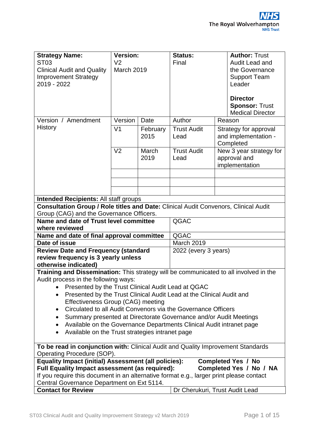| <b>Version:</b><br><b>Strategy Name:</b>                                                |                                |          | <b>Status:</b>       |                                               | <b>Author: Trust</b>                             |  |  |  |  |  |
|-----------------------------------------------------------------------------------------|--------------------------------|----------|----------------------|-----------------------------------------------|--------------------------------------------------|--|--|--|--|--|
| <b>ST03</b>                                                                             | V <sub>2</sub>                 |          | Final                |                                               | Audit Lead and                                   |  |  |  |  |  |
| <b>Clinical Audit and Quality</b>                                                       | <b>March 2019</b>              |          |                      |                                               | the Governance                                   |  |  |  |  |  |
| <b>Improvement Strategy</b>                                                             |                                |          |                      |                                               | <b>Support Team</b>                              |  |  |  |  |  |
| 2019 - 2022                                                                             |                                |          |                      |                                               | Leader                                           |  |  |  |  |  |
|                                                                                         |                                |          |                      |                                               |                                                  |  |  |  |  |  |
|                                                                                         |                                |          |                      |                                               | <b>Director</b>                                  |  |  |  |  |  |
|                                                                                         |                                |          |                      |                                               | <b>Sponsor: Trust</b><br><b>Medical Director</b> |  |  |  |  |  |
| Version / Amendment                                                                     | Version                        | Date     | Author               | Reason                                        |                                                  |  |  |  |  |  |
| <b>History</b>                                                                          | V <sub>1</sub>                 | February | <b>Trust Audit</b>   |                                               |                                                  |  |  |  |  |  |
|                                                                                         |                                | 2015     | Lead                 | Strategy for approval<br>and implementation - |                                                  |  |  |  |  |  |
|                                                                                         |                                |          |                      | Completed                                     |                                                  |  |  |  |  |  |
|                                                                                         | V <sub>2</sub>                 | March    | <b>Trust Audit</b>   |                                               | New 3 year strategy for                          |  |  |  |  |  |
|                                                                                         |                                | 2019     | Lead                 |                                               | approval and                                     |  |  |  |  |  |
|                                                                                         |                                |          |                      |                                               | implementation                                   |  |  |  |  |  |
|                                                                                         |                                |          |                      |                                               |                                                  |  |  |  |  |  |
|                                                                                         |                                |          |                      |                                               |                                                  |  |  |  |  |  |
|                                                                                         |                                |          |                      |                                               |                                                  |  |  |  |  |  |
| <b>Intended Recipients: All staff groups</b>                                            |                                |          |                      |                                               |                                                  |  |  |  |  |  |
| Consultation Group / Role titles and Date: Clinical Audit Convenors, Clinical Audit     |                                |          |                      |                                               |                                                  |  |  |  |  |  |
| Group (CAG) and the Governance Officers.                                                |                                |          |                      |                                               |                                                  |  |  |  |  |  |
| Name and date of Trust level committee                                                  |                                |          | QGAC                 |                                               |                                                  |  |  |  |  |  |
| where reviewed                                                                          |                                |          | QGAC                 |                                               |                                                  |  |  |  |  |  |
| Name and date of final approval committee<br>Date of issue                              |                                |          | <b>March 2019</b>    |                                               |                                                  |  |  |  |  |  |
| <b>Review Date and Frequency (standard</b>                                              |                                |          | 2022 (every 3 years) |                                               |                                                  |  |  |  |  |  |
| review frequency is 3 yearly unless                                                     |                                |          |                      |                                               |                                                  |  |  |  |  |  |
| otherwise indicated)                                                                    |                                |          |                      |                                               |                                                  |  |  |  |  |  |
| Training and Dissemination: This strategy will be communicated to all involved in the   |                                |          |                      |                                               |                                                  |  |  |  |  |  |
| Audit process in the following ways:                                                    |                                |          |                      |                                               |                                                  |  |  |  |  |  |
| Presented by the Trust Clinical Audit Lead at QGAC                                      |                                |          |                      |                                               |                                                  |  |  |  |  |  |
| Presented by the Trust Clinical Audit Lead at the Clinical Audit and<br>٠               |                                |          |                      |                                               |                                                  |  |  |  |  |  |
| Effectiveness Group (CAG) meeting                                                       |                                |          |                      |                                               |                                                  |  |  |  |  |  |
| Circulated to all Audit Convenors via the Governance Officers<br>$\bullet$              |                                |          |                      |                                               |                                                  |  |  |  |  |  |
| Summary presented at Directorate Governance and/or Audit Meetings<br>$\bullet$          |                                |          |                      |                                               |                                                  |  |  |  |  |  |
| Available on the Governance Departments Clinical Audit intranet page<br>٠               |                                |          |                      |                                               |                                                  |  |  |  |  |  |
| Available on the Trust strategies intranet page<br>$\bullet$                            |                                |          |                      |                                               |                                                  |  |  |  |  |  |
| To be read in conjunction with: Clinical Audit and Quality Improvement Standards        |                                |          |                      |                                               |                                                  |  |  |  |  |  |
| Operating Procedure (SOP).                                                              |                                |          |                      |                                               |                                                  |  |  |  |  |  |
| <b>Equality Impact (initial) Assessment (all policies):</b>                             |                                |          |                      |                                               | <b>Completed Yes / No</b>                        |  |  |  |  |  |
| Full Equality Impact assessment (as required):                                          |                                |          |                      |                                               | Completed Yes / No / NA                          |  |  |  |  |  |
| If you require this document in an alternative format e.g., larger print please contact |                                |          |                      |                                               |                                                  |  |  |  |  |  |
| Central Governance Department on Ext 5114.<br><b>Contact for Review</b>                 | Dr Cherukuri, Trust Audit Lead |          |                      |                                               |                                                  |  |  |  |  |  |
|                                                                                         |                                |          |                      |                                               |                                                  |  |  |  |  |  |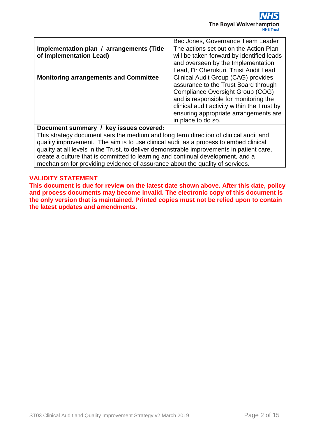|                                              | Bec Jones, Governance Team Leader           |  |  |  |  |  |  |
|----------------------------------------------|---------------------------------------------|--|--|--|--|--|--|
| Implementation plan / arrangements (Title    | The actions set out on the Action Plan      |  |  |  |  |  |  |
| of Implementation Lead)                      | will be taken forward by identified leads   |  |  |  |  |  |  |
|                                              | and overseen by the Implementation          |  |  |  |  |  |  |
|                                              | Lead, Dr Cherukuri, Trust Audit Lead        |  |  |  |  |  |  |
| <b>Monitoring arrangements and Committee</b> | Clinical Audit Group (CAG) provides         |  |  |  |  |  |  |
|                                              | assurance to the Trust Board through        |  |  |  |  |  |  |
|                                              | Compliance Oversight Group (COG)            |  |  |  |  |  |  |
|                                              | and is responsible for monitoring the       |  |  |  |  |  |  |
|                                              | clinical audit activity within the Trust by |  |  |  |  |  |  |
|                                              | ensuring appropriate arrangements are       |  |  |  |  |  |  |
|                                              | in place to do so.                          |  |  |  |  |  |  |
|                                              |                                             |  |  |  |  |  |  |

**Document summary / key issues covered:**

This strategy document sets the medium and long term direction of clinical audit and quality improvement. The aim is to use clinical audit as a process to embed clinical quality at all levels in the Trust, to deliver demonstrable improvements in patient care, create a culture that is committed to learning and continual development, and a mechanism for providing evidence of assurance about the quality of services.

#### **VALIDITY STATEMENT**

**This document is due for review on the latest date shown above. After this date, policy and process documents may become invalid. The electronic copy of this document is the only version that is maintained. Printed copies must not be relied upon to contain the latest updates and amendments.**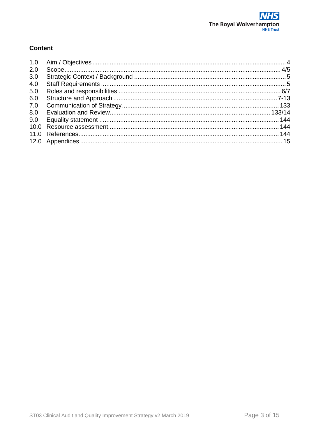#### **Content**

| 1.0 |  |
|-----|--|
| 2.0 |  |
| 3.0 |  |
| 4.0 |  |
| 5.0 |  |
| 6.0 |  |
| 7.0 |  |
| 8.0 |  |
| 9.0 |  |
|     |  |
|     |  |
|     |  |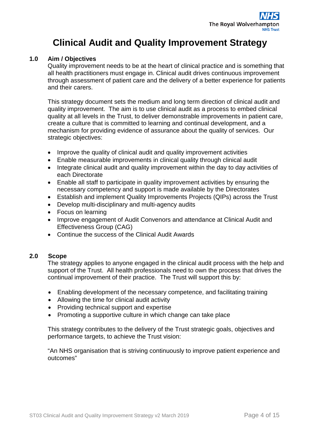### **Clinical Audit and Quality Improvement Strategy**

#### <span id="page-6-0"></span>**1.0 Aim / Objectives**

Quality improvement needs to be at the heart of clinical practice and is something that all health practitioners must engage in. Clinical audit drives continuous improvement through assessment of patient care and the delivery of a better experience for patients and their carers.

This strategy document sets the medium and long term direction of clinical audit and quality improvement. The aim is to use clinical audit as a process to embed clinical quality at all levels in the Trust, to deliver demonstrable improvements in patient care, create a culture that is committed to learning and continual development, and a mechanism for providing evidence of assurance about the quality of services. Our strategic objectives:

- Improve the quality of clinical audit and quality improvement activities
- Enable measurable improvements in clinical quality through clinical audit
- Integrate clinical audit and quality improvement within the day to day activities of each Directorate
- Enable all staff to participate in quality improvement activities by ensuring the necessary competency and support is made available by the Directorates
- Establish and implement Quality Improvements Projects (QIPs) across the Trust
- Develop multi-disciplinary and multi-agency audits
- Focus on learning
- Improve engagement of Audit Convenors and attendance at Clinical Audit and Effectiveness Group (CAG)
- Continue the success of the Clinical Audit Awards

#### <span id="page-6-1"></span>**2.0 Scope**

The strategy applies to anyone engaged in the clinical audit process with the help and support of the Trust. All health professionals need to own the process that drives the continual improvement of their practice. The Trust will support this by:

- Enabling development of the necessary competence, and facilitating training
- Allowing the time for clinical audit activity
- Providing technical support and expertise
- Promoting a supportive culture in which change can take place

This strategy contributes to the delivery of the Trust strategic goals, objectives and performance targets, to achieve the Trust vision:

"An NHS organisation that is striving continuously to improve patient experience and outcomes"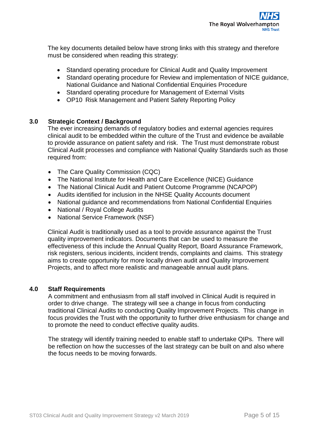The key documents detailed below have strong links with this strategy and therefore must be considered when reading this strategy:

- Standard operating procedure for Clinical Audit and Quality Improvement
- Standard operating procedure for Review and implementation of NICE guidance, National Guidance and National Confidential Enquiries Procedure
- Standard operating procedure for Management of External Visits
- OP10 Risk Management and Patient Safety Reporting Policy

#### <span id="page-7-0"></span>**3.0 Strategic Context / Background**

The ever increasing demands of regulatory bodies and external agencies requires clinical audit to be embedded within the culture of the Trust and evidence be available to provide assurance on patient safety and risk. The Trust must demonstrate robust Clinical Audit processes and compliance with National Quality Standards such as those required from:

- The Care Quality Commission (CQC)
- The National Institute for Health and Care Excellence (NICE) Guidance
- The National Clinical Audit and Patient Outcome Programme (NCAPOP)
- Audits identified for inclusion in the NHSE Quality Accounts document
- National guidance and recommendations from National Confidential Enquiries
- National / Royal College Audits
- National Service Framework (NSF)

Clinical Audit is traditionally used as a tool to provide assurance against the Trust quality improvement indicators. Documents that can be used to measure the effectiveness of this include the Annual Quality Report, Board Assurance Framework, risk registers, serious incidents, incident trends, complaints and claims. This strategy aims to create opportunity for more locally driven audit and Quality Improvement Projects, and to affect more realistic and manageable annual audit plans.

#### <span id="page-7-1"></span>**4.0 Staff Requirements**

A commitment and enthusiasm from all staff involved in Clinical Audit is required in order to drive change. The strategy will see a change in focus from conducting traditional Clinical Audits to conducting Quality Improvement Projects. This change in focus provides the Trust with the opportunity to further drive enthusiasm for change and to promote the need to conduct effective quality audits.

The strategy will identify training needed to enable staff to undertake QIPs. There will be reflection on how the successes of the last strategy can be built on and also where the focus needs to be moving forwards.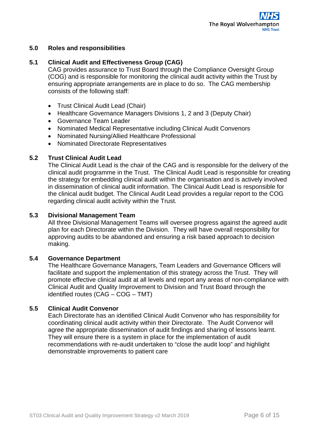#### <span id="page-8-0"></span>**5.0 Roles and responsibilities**

#### **5.1 Clinical Audit and Effectiveness Group (CAG)**

CAG provides assurance to Trust Board through the Compliance Oversight Group (COG) and is responsible for monitoring the clinical audit activity within the Trust by ensuring appropriate arrangements are in place to do so. The CAG membership consists of the following staff:

- Trust Clinical Audit Lead (Chair)
- Healthcare Governance Managers Divisions 1, 2 and 3 (Deputy Chair)
- Governance Team Leader
- Nominated Medical Representative including Clinical Audit Convenors
- Nominated Nursing/Allied Healthcare Professional
- Nominated Directorate Representatives

#### **5.2 Trust Clinical Audit Lead**

The Clinical Audit Lead is the chair of the CAG and is responsible for the delivery of the clinical audit programme in the Trust. The Clinical Audit Lead is responsible for creating the strategy for embedding clinical audit within the organisation and is actively involved in dissemination of clinical audit information. The Clinical Audit Lead is responsible for the clinical audit budget. The Clinical Audit Lead provides a regular report to the COG regarding clinical audit activity within the Trust.

#### **5.3 Divisional Management Team**

All three Divisional Management Teams will oversee progress against the agreed audit plan for each Directorate within the Division. They will have overall responsibility for approving audits to be abandoned and ensuring a risk based approach to decision making.

#### **5.4 Governance Department**

The Healthcare Governance Managers, Team Leaders and Governance Officers will facilitate and support the implementation of this strategy across the Trust. They will promote effective clinical audit at all levels and report any areas of non-compliance with Clinical Audit and Quality Improvement to Division and Trust Board through the identified routes (CAG – COG – TMT)

#### **5.5 Clinical Audit Convenor**

Each Directorate has an identified Clinical Audit Convenor who has responsibility for coordinating clinical audit activity within their Directorate. The Audit Convenor will agree the appropriate dissemination of audit findings and sharing of lessons learnt. They will ensure there is a system in place for the implementation of audit recommendations with re-audit undertaken to "close the audit loop" and highlight demonstrable improvements to patient care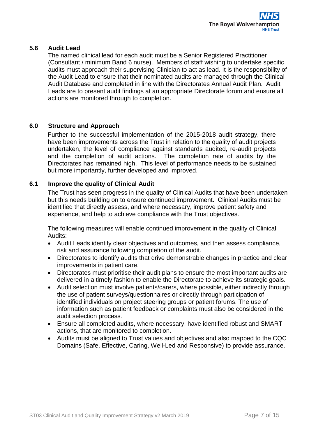#### **5.6 Audit Lead**

The named clinical lead for each audit must be a Senior Registered Practitioner (Consultant / minimum Band 6 nurse). Members of staff wishing to undertake specific audits must approach their supervising Clinician to act as lead. It is the responsibility of the Audit Lead to ensure that their nominated audits are managed through the Clinical Audit Database and completed in line with the Directorates Annual Audit Plan. Audit Leads are to present audit findings at an appropriate Directorate forum and ensure all actions are monitored through to completion.

#### <span id="page-9-0"></span>**6.0 Structure and Approach**

Further to the successful implementation of the 2015-2018 audit strategy, there have been improvements across the Trust in relation to the quality of audit projects undertaken, the level of compliance against standards audited, re-audit projects and the completion of audit actions. The completion rate of audits by the Directorates has remained high. This level of performance needs to be sustained but more importantly, further developed and improved.

#### **6.1 Improve the quality of Clinical Audit**

The Trust has seen progress in the quality of Clinical Audits that have been undertaken but this needs building on to ensure continued improvement. Clinical Audits must be identified that directly assess, and where necessary, improve patient safety and experience, and help to achieve compliance with the Trust objectives.

The following measures will enable continued improvement in the quality of Clinical Audits:

- Audit Leads identify clear objectives and outcomes, and then assess compliance, risk and assurance following completion of the audit.
- Directorates to identify audits that drive demonstrable changes in practice and clear improvements in patient care.
- Directorates must prioritise their audit plans to ensure the most important audits are delivered in a timely fashion to enable the Directorate to achieve its strategic goals.
- Audit selection must involve patients/carers, where possible, either indirectly through the use of patient surveys/questionnaires or directly through participation of identified individuals on project steering groups or patient forums. The use of information such as patient feedback or complaints must also be considered in the audit selection process.
- Ensure all completed audits, where necessary, have identified robust and SMART actions, that are monitored to completion.
- Audits must be aligned to Trust values and objectives and also mapped to the CQC Domains (Safe, Effective, Caring, Well-Led and Responsive) to provide assurance.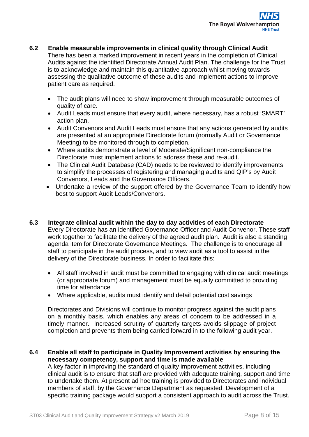- **6.2 Enable measurable improvements in clinical quality through Clinical Audit** There has been a marked improvement in recent years in the completion of Clinical Audits against the identified Directorate Annual Audit Plan. The challenge for the Trust is to acknowledge and maintain this quantitative approach whilst moving towards assessing the qualitative outcome of these audits and implement actions to improve patient care as required.
	- The audit plans will need to show improvement through measurable outcomes of quality of care.
	- Audit Leads must ensure that every audit, where necessary, has a robust 'SMART' action plan.
	- Audit Convenors and Audit Leads must ensure that any actions generated by audits are presented at an appropriate Directorate forum (normally Audit or Governance Meeting) to be monitored through to completion.
	- Where audits demonstrate a level of Moderate/Significant non-compliance the Directorate must implement actions to address these and re-audit.
	- The Clinical Audit Database (CAD) needs to be reviewed to identify improvements to simplify the processes of registering and managing audits and QIP's by Audit Convenors, Leads and the Governance Officers.
	- Undertake a review of the support offered by the Governance Team to identify how best to support Audit Leads/Convenors.
- **6.3 Integrate clinical audit within the day to day activities of each Directorate** Every Directorate has an identified Governance Officer and Audit Convenor. These staff work together to facilitate the delivery of the agreed audit plan. Audit is also a standing agenda item for Directorate Governance Meetings. The challenge is to encourage all staff to participate in the audit process, and to view audit as a tool to assist in the delivery of the Directorate business. In order to facilitate this:
	- All staff involved in audit must be committed to engaging with clinical audit meetings (or appropriate forum) and management must be equally committed to providing time for attendance
	- Where applicable, audits must identify and detail potential cost savings

Directorates and Divisions will continue to monitor progress against the audit plans on a monthly basis, which enables any areas of concern to be addressed in a timely manner. Increased scrutiny of quarterly targets avoids slippage of project completion and prevents them being carried forward in to the following audit year.

#### **6.4 Enable all staff to participate in Quality Improvement activities by ensuring the necessary competency, support and time is made available**

A key factor in improving the standard of quality improvement activities, including clinical audit is to ensure that staff are provided with adequate training, support and time to undertake them. At present ad hoc training is provided to Directorates and individual members of staff, by the Governance Department as requested. Development of a specific training package would support a consistent approach to audit across the Trust.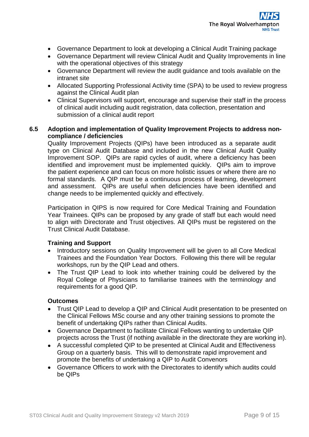

- Governance Department to look at developing a Clinical Audit Training package
- Governance Department will review Clinical Audit and Quality Improvements in line with the operational objectives of this strategy
- Governance Department will review the audit guidance and tools available on the intranet site
- Allocated Supporting Professional Activity time (SPA) to be used to review progress against the Clinical Audit plan
- Clinical Supervisors will support, encourage and supervise their staff in the process of clinical audit including audit registration, data collection, presentation and submission of a clinical audit report

#### **6.5 Adoption and implementation of Quality Improvement Projects to address noncompliance / deficiencies**

Quality Improvement Projects (QIPs) have been introduced as a separate audit type on Clinical Audit Database and included in the new Clinical Audit Quality Improvement SOP. QIPs are rapid cycles of audit, where a deficiency has been identified and improvement must be implemented quickly. QIPs aim to improve the patient experience and can focus on more holistic issues or where there are no formal standards. A QIP must be a continuous process of learning, development and assessment. QIPs are useful when deficiencies have been identified and change needs to be implemented quickly and effectively.

Participation in QIPS is now required for Core Medical Training and Foundation Year Trainees. QIPs can be proposed by any grade of staff but each would need to align with Directorate and Trust objectives. All QIPs must be registered on the Trust Clinical Audit Database.

#### **Training and Support**

- Introductory sessions on Quality Improvement will be given to all Core Medical Trainees and the Foundation Year Doctors. Following this there will be regular workshops, run by the QIP Lead and others.
- The Trust QIP Lead to look into whether training could be delivered by the Royal College of Physicians to familiarise trainees with the terminology and requirements for a good QIP.

#### **Outcomes**

- Trust QIP Lead to develop a QIP and Clinical Audit presentation to be presented on the Clinical Fellows MSc course and any other training sessions to promote the benefit of undertaking QIPs rather than Clinical Audits.
- Governance Department to facilitate Clinical Fellows wanting to undertake QIP projects across the Trust (if nothing available in the directorate they are working in).
- A successful completed QIP to be presented at Clinical Audit and Effectiveness Group on a quarterly basis. This will to demonstrate rapid improvement and promote the benefits of undertaking a QIP to Audit Convenors
- Governance Officers to work with the Directorates to identify which audits could be QIPs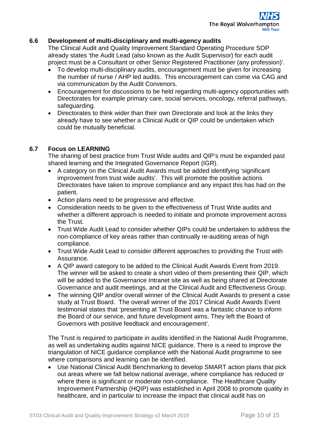#### **6.6 Development of multi-disciplinary and multi-agency audits**

The Clinical Audit and Quality Improvement Standard Operating Procedure SOP already states 'the Audit Lead (also known as the Audit Supervisor) for each audit project must be a Consultant or other Senior Registered Practitioner (any profession)'.

- To develop multi-disciplinary audits, encouragement must be given for increasing the number of nurse / AHP led audits. This encouragement can come via CAG and via communication by the Audit Convenors.
- Encouragement for discussions to be held regarding multi-agency opportunities with Directorates for example primary care, social services, oncology, referral pathways, safeguarding.
- Directorates to think wider than their own Directorate and look at the links they already have to see whether a Clinical Audit or QIP could be undertaken which could be mutually beneficial.

#### **6.7 Focus on LEARNING**

The sharing of best practice from Trust Wide audits and QIP's must be expanded past shared learning and the Integrated Governance Report (IGR).

- A category on the Clinical Audit Awards must be added identifying 'significant improvement from trust wide audits'. This will promote the positive actions Directorates have taken to improve compliance and any impact this has had on the patient.
- Action plans need to be progressive and effective.
- Consideration needs to be given to the effectiveness of Trust Wide audits and whether a different approach is needed to initiate and promote improvement across the Trust.
- Trust Wide Audit Lead to consider whether QIPs could be undertaken to address the non-compliance of key areas rather than continually re-auditing areas of high compliance.
- Trust Wide Audit Lead to consider different approaches to providing the Trust with Assurance.
- A QIP award category to be added to the Clinical Audit Awards Event from 2019. The winner will be asked to create a short video of them presenting their QIP, which will be added to the Governance Intranet site as well as being shared at Directorate Governance and audit meetings, and at the Clinical Audit and Effectiveness Group.
- The winning QIP and/or overall winner of the Clinical Audit Awards to present a case study at Trust Board. The overall winner of the 2017 Clinical Audit Awards Event testimonial states that 'presenting at Trust Board was a fantastic chance to inform the Board of our service, and future development aims. They left the Board of Governors with positive feedback and encouragement'.

The Trust is required to participate in audits identified in the National Audit Programme, as well as undertaking audits against NICE guidance. There is a need to improve the triangulation of NICE guidance compliance with the National Audit programme to see where comparisons and learning can be identified.

• Use National Clinical Audit Benchmarking to develop SMART action plans that pick out areas where we fall below national average, where compliance has reduced or where there is significant or moderate non-compliance. The Healthcare Quality Improvement Partnership (HQIP) was established in April 2008 to promote quality in healthcare, and in particular to increase the impact that clinical audit has on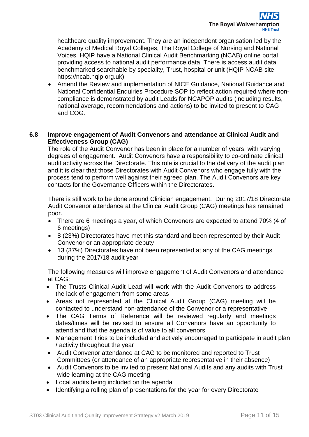healthcare quality improvement. They are an independent organisation led by the Academy of Medical Royal Colleges, The Royal College of Nursing and National Voices. HQIP have a National Clinical Audit Benchmarking (NCAB) online portal providing access to national audit performance data. There is access audit data benchmarked searchable by speciality, Trust, hospital or unit (HQIP NCAB site https://ncab.hqip.org.uk)

• Amend the Review and implementation of NICE Guidance, National Guidance and National Confidential Enquiries Procedure SOP to reflect action required where noncompliance is demonstrated by audit Leads for NCAPOP audits (including results, national average, recommendations and actions) to be invited to present to CAG and COG.

#### **6.8 Improve engagement of Audit Convenors and attendance at Clinical Audit and Effectiveness Group (CAG)**

The role of the Audit Convenor has been in place for a number of years, with varying degrees of engagement. Audit Convenors have a responsibility to co-ordinate clinical audit activity across the Directorate. This role is crucial to the delivery of the audit plan and it is clear that those Directorates with Audit Convenors who engage fully with the process tend to perform well against their agreed plan. The Audit Convenors are key contacts for the Governance Officers within the Directorates.

There is still work to be done around Clinician engagement. During 2017/18 Directorate Audit Convenor attendance at the Clinical Audit Group (CAG) meetings has remained poor.

- There are 6 meetings a year, of which Conveners are expected to attend 70% (4 of 6 meetings)
- 8 (23%) Directorates have met this standard and been represented by their Audit Convenor or an appropriate deputy
- 13 (37%) Directorates have not been represented at any of the CAG meetings during the 2017/18 audit year

The following measures will improve engagement of Audit Convenors and attendance at CAG:

- The Trusts Clinical Audit Lead will work with the Audit Convenors to address the lack of engagement from some areas
- Areas not represented at the Clinical Audit Group (CAG) meeting will be contacted to understand non-attendance of the Convenor or a representative
- The CAG Terms of Reference will be reviewed regularly and meetings dates/times will be revised to ensure all Convenors have an opportunity to attend and that the agenda is of value to all convenors
- Management Trios to be included and actively encouraged to participate in audit plan / activity throughout the year
- Audit Convenor attendance at CAG to be monitored and reported to Trust Committees (or attendance of an appropriate representative in their absence)
- Audit Convenors to be invited to present National Audits and any audits with Trust wide learning at the CAG meeting
- Local audits being included on the agenda
- Identifying a rolling plan of presentations for the year for every Directorate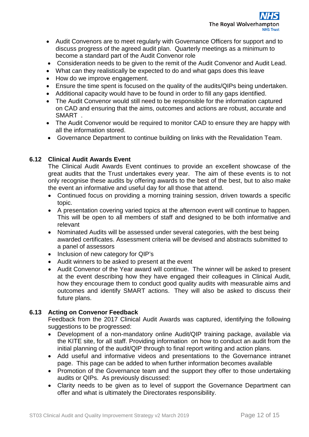

- Audit Convenors are to meet regularly with Governance Officers for support and to discuss progress of the agreed audit plan. Quarterly meetings as a minimum to become a standard part of the Audit Convenor role
- Consideration needs to be given to the remit of the Audit Convenor and Audit Lead.
- What can they realistically be expected to do and what gaps does this leave
- How do we improve engagement.
- Ensure the time spent is focused on the quality of the audits/QIPs being undertaken.
- Additional capacity would have to be found in order to fill any gaps identified.
- The Audit Convenor would still need to be responsible for the information captured on CAD and ensuring that the aims, outcomes and actions are robust, accurate and SMART .
- The Audit Convenor would be required to monitor CAD to ensure they are happy with all the information stored.
- Governance Department to continue building on links with the Revalidation Team.

#### **6.12 Clinical Audit Awards Event**

The Clinical Audit Awards Event continues to provide an excellent showcase of the great audits that the Trust undertakes every year. The aim of these events is to not only recognise these audits by offering awards to the best of the best, but to also make the event an informative and useful day for all those that attend.

- Continued focus on providing a morning training session, driven towards a specific topic.
- A presentation covering varied topics at the afternoon event will continue to happen. This will be open to all members of staff and designed to be both informative and relevant
- Nominated Audits will be assessed under several categories, with the best being awarded certificates. Assessment criteria will be devised and abstracts submitted to a panel of assessors
- Inclusion of new category for QIP's
- Audit winners to be asked to present at the event
- Audit Convenor of the Year award will continue. The winner will be asked to present at the event describing how they have engaged their colleagues in Clinical Audit, how they encourage them to conduct good quality audits with measurable aims and outcomes and identify SMART actions. They will also be asked to discuss their future plans.

#### **6.13 Acting on Convenor Feedback**

Feedback from the 2017 Clinical Audit Awards was captured, identifying the following suggestions to be progressed:

- Development of a non-mandatory online Audit/QIP training package, available via the KITE site, for all staff. Providing information on how to conduct an audit from the initial planning of the audit/QIP through to final report writing and action plans.
- Add useful and informative videos and presentations to the Governance intranet page. This page can be added to when further information becomes available
- Promotion of the Governance team and the support they offer to those undertaking audits or QIPs. As previously discussed:
- Clarity needs to be given as to level of support the Governance Department can offer and what is ultimately the Directorates responsibility.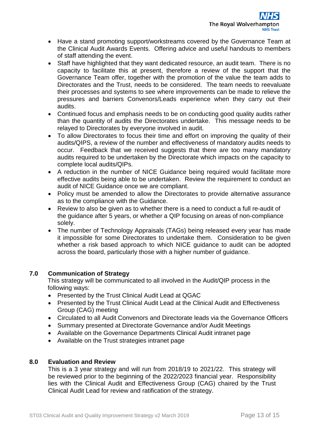- Have a stand promoting support/workstreams covered by the Governance Team at the Clinical Audit Awards Events. Offering advice and useful handouts to members of staff attending the event.
- Staff have highlighted that they want dedicated resource, an audit team. There is no capacity to facilitate this at present, therefore a review of the support that the Governance Team offer, together with the promotion of the value the team adds to Directorates and the Trust, needs to be considered. The team needs to reevaluate their processes and systems to see where improvements can be made to relieve the pressures and barriers Convenors/Leads experience when they carry out their audits.
- Continued focus and emphasis needs to be on conducting good quality audits rather than the quantity of audits the Directorates undertake. This message needs to be relayed to Directorates by everyone involved in audit.
- To allow Directorates to focus their time and effort on improving the quality of their audits/QIPS, a review of the number and effectiveness of mandatory audits needs to occur. Feedback that we received suggests that there are too many mandatory audits required to be undertaken by the Directorate which impacts on the capacity to complete local audits/QIPs.
- A reduction in the number of NICE Guidance being required would facilitate more effective audits being able to be undertaken. Review the requirement to conduct an audit of NICE Guidance once we are compliant.
- Policy must be amended to allow the Directorates to provide alternative assurance as to the compliance with the Guidance.
- Review to also be given as to whether there is a need to conduct a full re-audit of the guidance after 5 years, or whether a QIP focusing on areas of non-compliance solely.
- The number of Technology Appraisals (TAGs) being released every year has made it impossible for some Directorates to undertake them. Consideration to be given whether a risk based approach to which NICE guidance to audit can be adopted across the board, particularly those with a higher number of guidance.

#### <span id="page-15-0"></span>**7.0 Communication of Strategy**

This strategy will be communicated to all involved in the Audit/QIP process in the following ways:

- Presented by the Trust Clinical Audit Lead at QGAC
- Presented by the Trust Clinical Audit Lead at the Clinical Audit and Effectiveness Group (CAG) meeting
- Circulated to all Audit Convenors and Directorate leads via the Governance Officers
- Summary presented at Directorate Governance and/or Audit Meetings
- Available on the Governance Departments Clinical Audit intranet page
- Available on the Trust strategies intranet page

#### <span id="page-15-1"></span>**8.0 Evaluation and Review**

This is a 3 year strategy and will run from 2018/19 to 2021/22. This strategy will be reviewed prior to the beginning of the 2022/2023 financial year. Responsibility lies with the Clinical Audit and Effectiveness Group (CAG) chaired by the Trust Clinical Audit Lead for review and ratification of the strategy.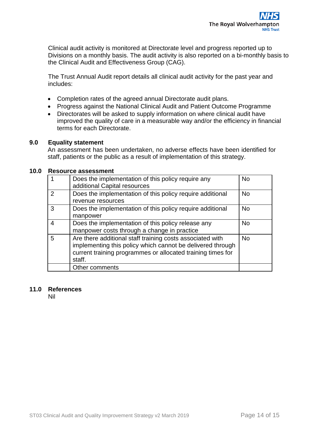Clinical audit activity is monitored at Directorate level and progress reported up to Divisions on a monthly basis. The audit activity is also reported on a bi-monthly basis to the Clinical Audit and Effectiveness Group (CAG).

The Trust Annual Audit report details all clinical audit activity for the past year and includes:

- Completion rates of the agreed annual Directorate audit plans.
- Progress against the National Clinical Audit and Patient Outcome Programme
- Directorates will be asked to supply information on where clinical audit have improved the quality of care in a measurable way and/or the efficiency in financial terms for each Directorate.

#### <span id="page-16-0"></span>**9.0 Equality statement**

An assessment has been undertaken, no adverse effects have been identified for staff, patients or the public as a result of implementation of this strategy.

#### <span id="page-16-1"></span>**10.0 Resource assessment**

|   | Does the implementation of this policy require any<br>additional Capital resources                                                                                                               | <b>No</b> |
|---|--------------------------------------------------------------------------------------------------------------------------------------------------------------------------------------------------|-----------|
| 2 | Does the implementation of this policy require additional<br>revenue resources                                                                                                                   | <b>No</b> |
| 3 | Does the implementation of this policy require additional<br>manpower                                                                                                                            | <b>No</b> |
| 4 | Does the implementation of this policy release any<br>manpower costs through a change in practice                                                                                                | <b>No</b> |
| 5 | Are there additional staff training costs associated with<br>implementing this policy which cannot be delivered through<br>current training programmes or allocated training times for<br>staff. | <b>No</b> |
|   | Other comments                                                                                                                                                                                   |           |

#### <span id="page-16-2"></span>**11.0 References**

Nil